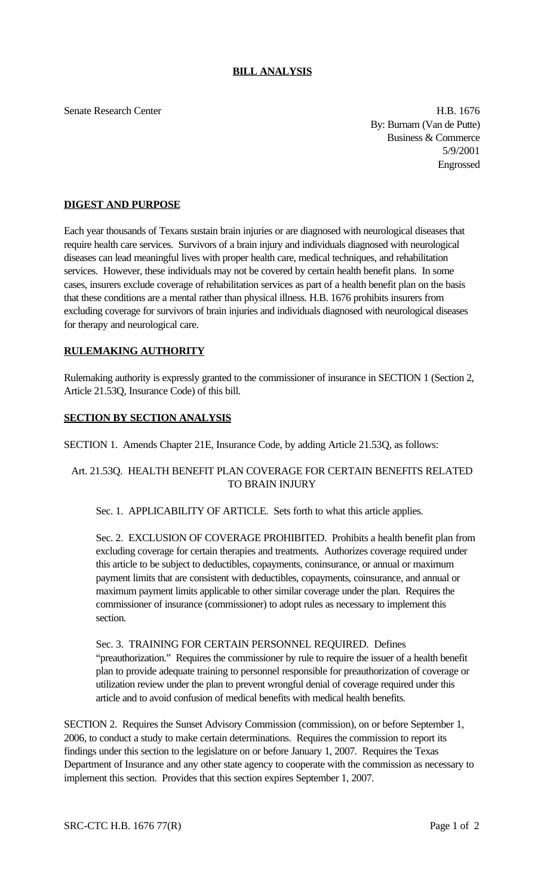#### **BILL ANALYSIS**

Senate Research Center **H.B.** 1676 By: Burnam (Van de Putte) Business & Commerce 5/9/2001 Engrossed

### **DIGEST AND PURPOSE**

Each year thousands of Texans sustain brain injuries or are diagnosed with neurological diseases that require health care services. Survivors of a brain injury and individuals diagnosed with neurological diseases can lead meaningful lives with proper health care, medical techniques, and rehabilitation services. However, these individuals may not be covered by certain health benefit plans. In some cases, insurers exclude coverage of rehabilitation services as part of a health benefit plan on the basis that these conditions are a mental rather than physical illness. H.B. 1676 prohibits insurers from excluding coverage for survivors of brain injuries and individuals diagnosed with neurological diseases for therapy and neurological care.

#### **RULEMAKING AUTHORITY**

Rulemaking authority is expressly granted to the commissioner of insurance in SECTION 1 (Section 2, Article 21.53Q, Insurance Code) of this bill.

#### **SECTION BY SECTION ANALYSIS**

SECTION 1. Amends Chapter 21E, Insurance Code, by adding Article 21.53Q, as follows:

## Art. 21.53Q. HEALTH BENEFIT PLAN COVERAGE FOR CERTAIN BENEFITS RELATED TO BRAIN INJURY

#### Sec. 1. APPLICABILITY OF ARTICLE. Sets forth to what this article applies.

Sec. 2. EXCLUSION OF COVERAGE PROHIBITED. Prohibits a health benefit plan from excluding coverage for certain therapies and treatments. Authorizes coverage required under this article to be subject to deductibles, copayments, coninsurance, or annual or maximum payment limits that are consistent with deductibles, copayments, coinsurance, and annual or maximum payment limits applicable to other similar coverage under the plan. Requires the commissioner of insurance (commissioner) to adopt rules as necessary to implement this section.

# Sec. 3. TRAINING FOR CERTAIN PERSONNEL REQUIRED. Defines "preauthorization." Requires the commissioner by rule to require the issuer of a health benefit plan to provide adequate training to personnel responsible for preauthorization of coverage or utilization review under the plan to prevent wrongful denial of coverage required under this article and to avoid confusion of medical benefits with medical health benefits.

SECTION 2. Requires the Sunset Advisory Commission (commission), on or before September 1, 2006, to conduct a study to make certain determinations. Requires the commission to report its findings under this section to the legislature on or before January 1, 2007. Requires the Texas Department of Insurance and any other state agency to cooperate with the commission as necessary to implement this section. Provides that this section expires September 1, 2007.